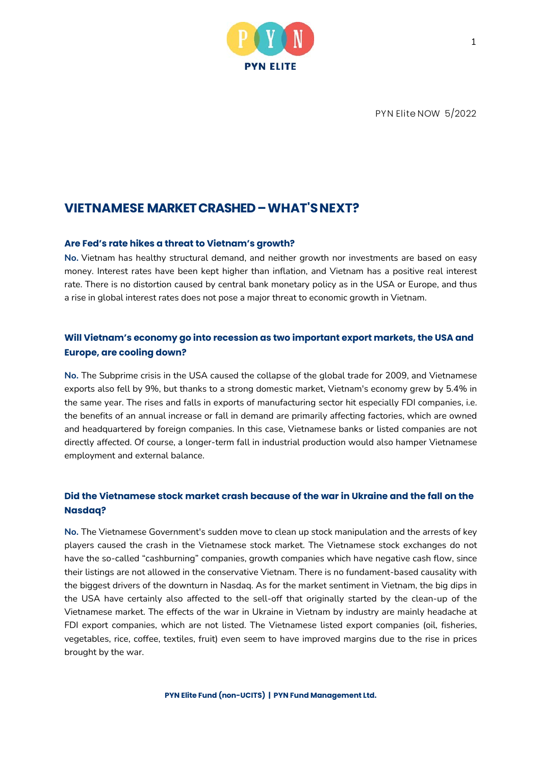

PYN Elite NOW 5/2022

# **VIETNAMESE MARKET CRASHED – WHAT'S NEXT?**

### **Are Fed's rate hikes a threat to Vietnam's growth?**

**No.** Vietnam has healthy structural demand, and neither growth nor investments are based on easy money. Interest rates have been kept higher than inflation, and Vietnam has a positive real interest rate. There is no distortion caused by central bank monetary policy as in the USA or Europe, and thus a rise in global interest rates does not pose a major threat to economic growth in Vietnam.

## **Will Vietnam's economy go into recession as two important export markets, the USA and Europe, are cooling down?**

**No.** The Subprime crisis in the USA caused the collapse of the global trade for 2009, and Vietnamese exports also fell by 9%, but thanks to a strong domestic market, Vietnam's economy grew by 5.4% in the same year. The rises and falls in exports of manufacturing sector hit especially FDI companies, i.e. the benefits of an annual increase or fall in demand are primarily affecting factories, which are owned and headquartered by foreign companies. In this case, Vietnamese banks or listed companies are not directly affected. Of course, a longer-term fall in industrial production would also hamper Vietnamese employment and external balance.

## **Did the Vietnamese stock market crash because of the war in Ukraine and the fall on the Nasdaq?**

**No.** The Vietnamese Government's sudden move to clean up stock manipulation and the arrests of key players caused the crash in the Vietnamese stock market. The Vietnamese stock exchanges do not have the so-called "cashburning" companies, growth companies which have negative cash flow, since their listings are not allowed in the conservative Vietnam. There is no fundament-based causality with the biggest drivers of the downturn in Nasdaq. As for the market sentiment in Vietnam, the big dips in the USA have certainly also affected to the sell-off that originally started by the clean-up of the Vietnamese market. The effects of the war in Ukraine in Vietnam by industry are mainly headache at FDI export companies, which are not listed. The Vietnamese listed export companies (oil, fisheries, vegetables, rice, coffee, textiles, fruit) even seem to have improved margins due to the rise in prices brought by the war.

**PYN Elite Fund (non-UCITS) | PYN Fund Management Ltd.**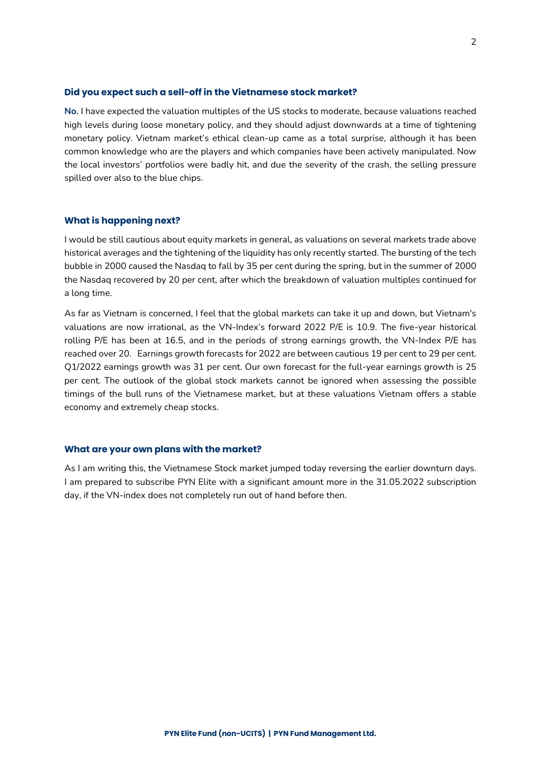### **Did you expect such a sell-off in the Vietnamese stock market?**

**No.** I have expected the valuation multiples of the US stocks to moderate, because valuations reached high levels during loose monetary policy, and they should adjust downwards at a time of tightening monetary policy. Vietnam market's ethical clean-up came as a total surprise, although it has been common knowledge who are the players and which companies have been actively manipulated. Now the local investors' portfolios were badly hit, and due the severity of the crash, the selling pressure spilled over also to the blue chips.

### **What is happening next?**

I would be still cautious about equity markets in general, as valuations on several markets trade above historical averages and the tightening of the liquidity has only recently started. The bursting of the tech bubble in 2000 caused the Nasdaq to fall by 35 per cent during the spring, but in the summer of 2000 the Nasdaq recovered by 20 per cent, after which the breakdown of valuation multiples continued for a long time.

As far as Vietnam is concerned, I feel that the global markets can take it up and down, but Vietnam's valuations are now irrational, as the VN-Index's forward 2022 P/E is 10.9. The five-year historical rolling P/E has been at 16.5, and in the periods of strong earnings growth, the VN-Index P/E has reached over 20. Earnings growth forecasts for 2022 are between cautious 19 per cent to 29 per cent. Q1/2022 earnings growth was 31 per cent. Our own forecast for the full-year earnings growth is 25 per cent. The outlook of the global stock markets cannot be ignored when assessing the possible timings of the bull runs of the Vietnamese market, but at these valuations Vietnam offers a stable economy and extremely cheap stocks.

### **What are your own plans with the market?**

As I am writing this, the Vietnamese Stock market jumped today reversing the earlier downturn days. I am prepared to subscribe PYN Elite with a significant amount more in the 31.05.2022 subscription day, if the VN-index does not completely run out of hand before then.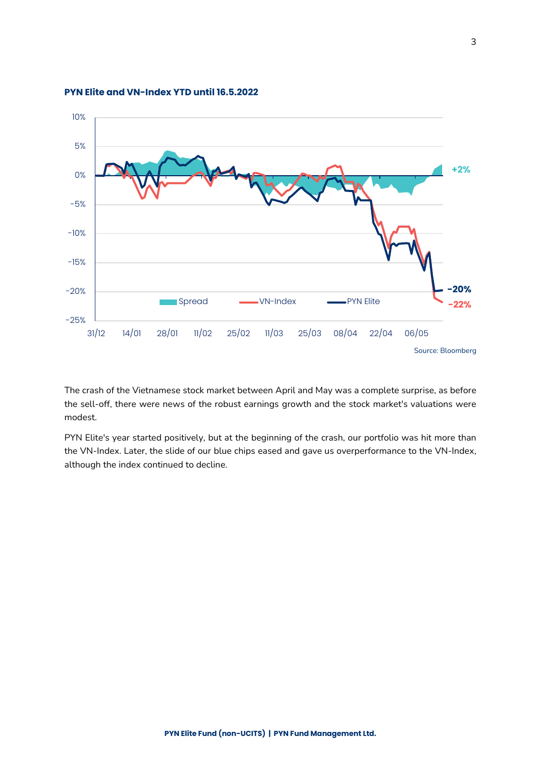

**PYN Elite and VN-Index YTD until 16.5.2022** 

The crash of the Vietnamese stock market between April and May was a complete surprise, as before the sell-off, there were news of the robust earnings growth and the stock market's valuations were modest.

PYN Elite's year started positively, but at the beginning of the crash, our portfolio was hit more than the VN-Index. Later, the slide of our blue chips eased and gave us overperformance to the VN-Index, although the index continued to decline.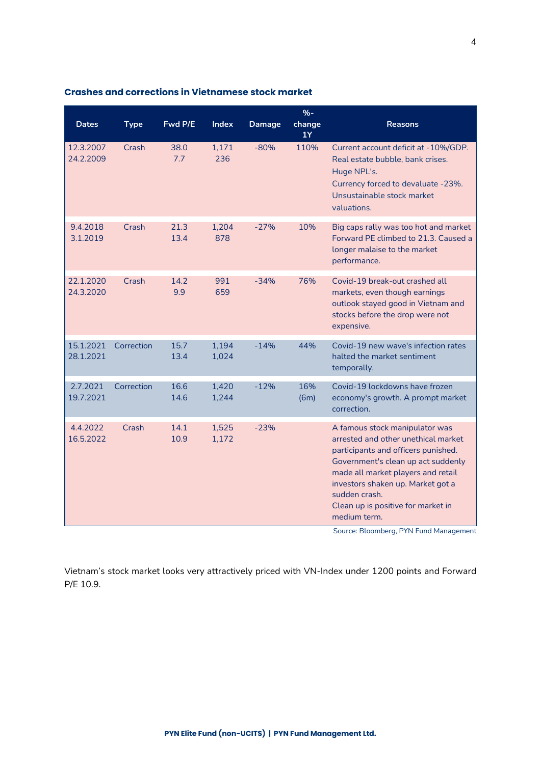|                        |             |              |                |               | $% -$        |                                                                                                                                                                                                                                                                                                                                                |
|------------------------|-------------|--------------|----------------|---------------|--------------|------------------------------------------------------------------------------------------------------------------------------------------------------------------------------------------------------------------------------------------------------------------------------------------------------------------------------------------------|
| <b>Dates</b>           | <b>Type</b> | Fwd P/E      | <b>Index</b>   | <b>Damage</b> | change<br>1Y | <b>Reasons</b>                                                                                                                                                                                                                                                                                                                                 |
| 12.3.2007<br>24.2.2009 | Crash       | 38.0<br>7.7  | 1,171<br>236   | $-80%$        | 110%         | Current account deficit at -10%/GDP.<br>Real estate bubble, bank crises.<br>Huge NPL's.<br>Currency forced to devaluate -23%.<br>Unsustainable stock market<br>valuations.                                                                                                                                                                     |
| 9.4.2018<br>3.1.2019   | Crash       | 21.3<br>13.4 | 1,204<br>878   | $-27%$        | 10%          | Big caps rally was too hot and market<br>Forward PE climbed to 21.3. Caused a<br>longer malaise to the market<br>performance.                                                                                                                                                                                                                  |
| 22.1.2020<br>24.3.2020 | Crash       | 14.2<br>9.9  | 991<br>659     | $-34%$        | 76%          | Covid-19 break-out crashed all<br>markets, even though earnings<br>outlook stayed good in Vietnam and<br>stocks before the drop were not<br>expensive.                                                                                                                                                                                         |
| 15.1.2021<br>28.1.2021 | Correction  | 15.7<br>13.4 | 1,194<br>1,024 | $-14%$        | 44%          | Covid-19 new wave's infection rates<br>halted the market sentiment<br>temporally.                                                                                                                                                                                                                                                              |
| 2.7.2021<br>19.7.2021  | Correction  | 16.6<br>14.6 | 1,420<br>1,244 | $-12%$        | 16%<br>(6m)  | Covid-19 lockdowns have frozen<br>economy's growth. A prompt market<br>correction.                                                                                                                                                                                                                                                             |
| 4.4.2022<br>16.5.2022  | Crash       | 14.1<br>10.9 | 1,525<br>1,172 | $-23%$        |              | A famous stock manipulator was<br>arrested and other unethical market<br>participants and officers punished.<br>Government's clean up act suddenly<br>made all market players and retail<br>investors shaken up. Market got a<br>sudden crash.<br>Clean up is positive for market in<br>medium term.<br>Source: Bloomberg, PYN Fund Management |

## **Crashes and corrections in Vietnamese stock market**

Vietnam's stock market looks very attractively priced with VN-Index under 1200 points and Forward P/E 10.9.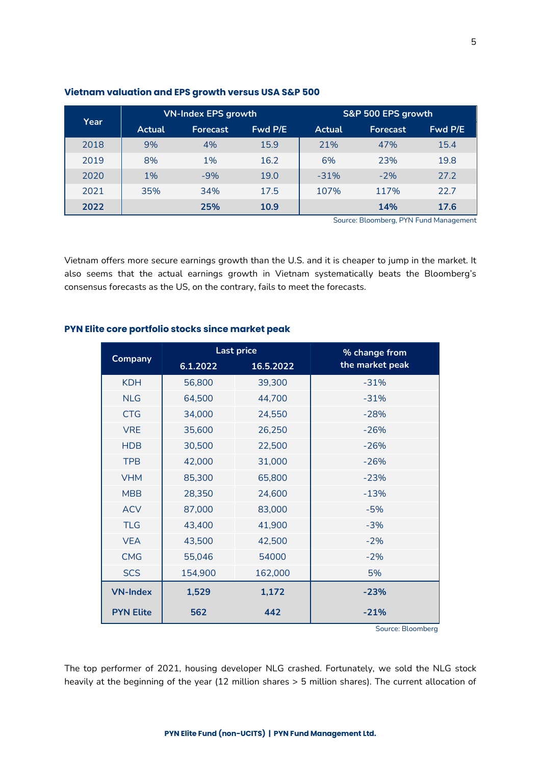|  | PYN Elite Fund (non-UCITS)   PYN Fund Management Ltd. |
|--|-------------------------------------------------------|

| Year |        | <b>VN-Index EPS growth</b> |         | S&P 500 EPS growth |                 |         |
|------|--------|----------------------------|---------|--------------------|-----------------|---------|
|      | Actual | <b>Forecast</b>            | Fwd P/E | <b>Actual</b>      | <b>Forecast</b> | Fwd P/E |
| 2018 | 9%     | 4%                         | 15.9    | 21%                | 47%             | 15.4    |
| 2019 | 8%     | 1%                         | 16.2    | 6%                 | 23%             | 19.8    |
| 2020 | 1%     | $-9%$                      | 19.0    | $-31%$             | $-2%$           | 27.2    |
| 2021 | 35%    | 34%                        | 17.5    | 107%               | 117%            | 22.7    |
| 2022 |        | 25%                        | 10.9    |                    | 14%             | 17.6    |

### **Vietnam valuation and EPS growth versus USA S&P 500**

Source: Bloomberg, PYN Fund Management

Vietnam offers more secure earnings growth than the U.S. and it is cheaper to jump in the market. It also seems that the actual earnings growth in Vietnam systematically beats the Bloomberg's consensus forecasts as the US, on the contrary, fails to meet the forecasts.

|                  |          | <b>Last price</b> | % change from   |  |
|------------------|----------|-------------------|-----------------|--|
| Company          | 6.1.2022 | 16.5.2022         | the market peak |  |
| <b>KDH</b>       | 56,800   | 39,300            | $-31%$          |  |
| <b>NLG</b>       | 64,500   | 44,700            | $-31%$          |  |
| <b>CTG</b>       | 34,000   | 24,550            | $-28%$          |  |
| <b>VRE</b>       | 35,600   | 26,250            | $-26%$          |  |
| <b>HDB</b>       | 30,500   | 22,500            | $-26%$          |  |
| <b>TPB</b>       | 42,000   | 31,000            | $-26%$          |  |
| <b>VHM</b>       | 85,300   | 65,800            | $-23%$          |  |
| <b>MBB</b>       | 28,350   | 24,600            | $-13%$          |  |
| <b>ACV</b>       | 87,000   | 83,000            | $-5%$           |  |
| <b>TLG</b>       | 43,400   | 41,900            | $-3%$           |  |
| <b>VEA</b>       | 43,500   | 42,500            | $-2%$           |  |
| <b>CMG</b>       | 55,046   | 54000             | $-2%$           |  |
| <b>SCS</b>       | 154,900  | 162,000           | 5%              |  |
| <b>VN-Index</b>  | 1,529    | 1,172             | $-23%$          |  |
| <b>PYN Elite</b> | 562      | 442               | $-21%$          |  |

### **PYN Elite core portfolio stocks since market peak**

Source: Bloomberg

The top performer of 2021, housing developer NLG crashed. Fortunately, we sold the NLG stock heavily at the beginning of the year (12 million shares > 5 million shares). The current allocation of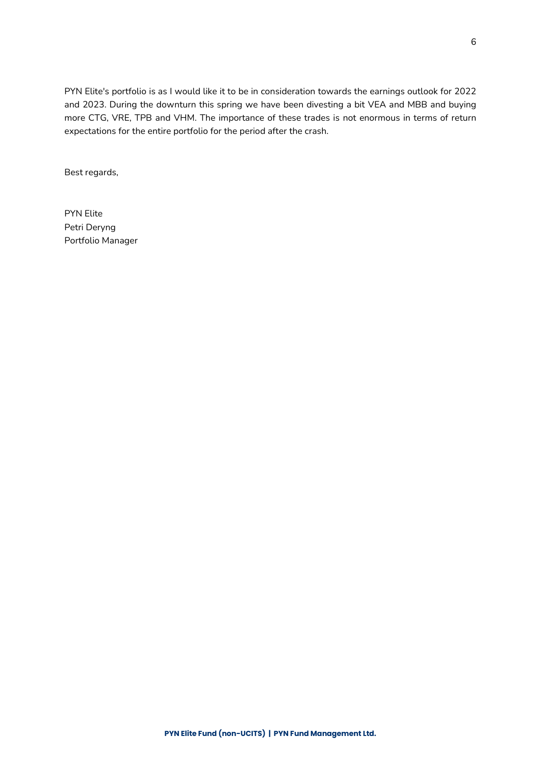PYN Elite's portfolio is as I would like it to be in consideration towards the earnings outlook for 2022 and 2023. During the downturn this spring we have been divesting a bit VEA and MBB and buying more CTG, VRE, TPB and VHM. The importance of these trades is not enormous in terms of return expectations for the entire portfolio for the period after the crash.

Best regards,

PYN Elite Petri Deryng Portfolio Manager